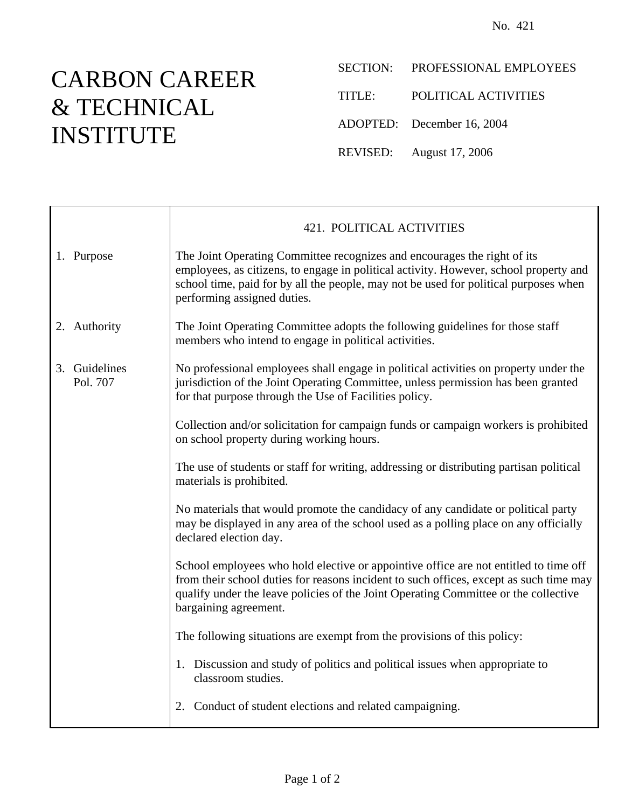## CARBON CAREER & TECHNICAL INSTITUTE

- SECTION: PROFESSIONAL EMPLOYEES
- TITLE: POLITICAL ACTIVITIES
- ADOPTED: December 16, 2004
- REVISED: August 17, 2006

|                           | 421. POLITICAL ACTIVITIES                                                                                                                                                                                                                                                                      |
|---------------------------|------------------------------------------------------------------------------------------------------------------------------------------------------------------------------------------------------------------------------------------------------------------------------------------------|
| 1. Purpose                | The Joint Operating Committee recognizes and encourages the right of its<br>employees, as citizens, to engage in political activity. However, school property and<br>school time, paid for by all the people, may not be used for political purposes when<br>performing assigned duties.       |
| 2. Authority              | The Joint Operating Committee adopts the following guidelines for those staff<br>members who intend to engage in political activities.                                                                                                                                                         |
| 3. Guidelines<br>Pol. 707 | No professional employees shall engage in political activities on property under the<br>jurisdiction of the Joint Operating Committee, unless permission has been granted<br>for that purpose through the Use of Facilities policy.                                                            |
|                           | Collection and/or solicitation for campaign funds or campaign workers is prohibited<br>on school property during working hours.                                                                                                                                                                |
|                           | The use of students or staff for writing, addressing or distributing partisan political<br>materials is prohibited.                                                                                                                                                                            |
|                           | No materials that would promote the candidacy of any candidate or political party<br>may be displayed in any area of the school used as a polling place on any officially<br>declared election day.                                                                                            |
|                           | School employees who hold elective or appointive office are not entitled to time off<br>from their school duties for reasons incident to such offices, except as such time may<br>qualify under the leave policies of the Joint Operating Committee or the collective<br>bargaining agreement. |
|                           | The following situations are exempt from the provisions of this policy:                                                                                                                                                                                                                        |
|                           | 1. Discussion and study of politics and political issues when appropriate to<br>classroom studies.                                                                                                                                                                                             |
|                           | 2. Conduct of student elections and related campaigning.                                                                                                                                                                                                                                       |